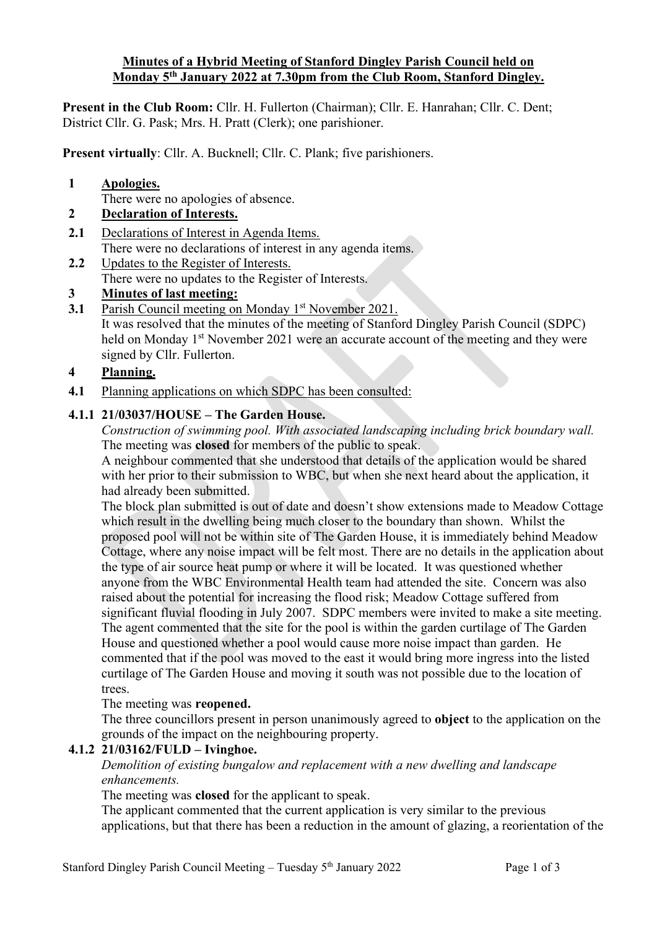#### **Minutes of a Hybrid Meeting of Stanford Dingley Parish Council held on Monday 5th January 2022 at 7.30pm from the Club Room, Stanford Dingley.**

**Present in the Club Room:** Cllr. H. Fullerton (Chairman); Cllr. E. Hanrahan; Cllr. C. Dent; District Cllr. G. Pask; Mrs. H. Pratt (Clerk); one parishioner.

**Present virtually**: Cllr. A. Bucknell; Cllr. C. Plank; five parishioners.

**1 Apologies.**

There were no apologies of absence.

# **2 Declaration of Interests.**

- **2.1** Declarations of Interest in Agenda Items. There were no declarations of interest in any agenda items.
- **2.2** Updates to the Register of Interests. There were no updates to the Register of Interests.
- **3 Minutes of last meeting:**
- **3.1** Parish Council meeting on Monday 1<sup>st</sup> November 2021. It was resolved that the minutes of the meeting of Stanford Dingley Parish Council (SDPC) held on Monday 1<sup>st</sup> November 2021 were an accurate account of the meeting and they were signed by Cllr. Fullerton.

#### **4 Planning.**

**4.1** Planning applications on which SDPC has been consulted:

## **4.1.1 21/03037/HOUSE – The Garden House.**

*Construction of swimming pool. With associated landscaping including brick boundary wall.* The meeting was **closed** for members of the public to speak.

A neighbour commented that she understood that details of the application would be shared with her prior to their submission to WBC, but when she next heard about the application, it had already been submitted.

The block plan submitted is out of date and doesn't show extensions made to Meadow Cottage which result in the dwelling being much closer to the boundary than shown. Whilst the proposed pool will not be within site of The Garden House, it is immediately behind Meadow Cottage, where any noise impact will be felt most. There are no details in the application about the type of air source heat pump or where it will be located. It was questioned whether anyone from the WBC Environmental Health team had attended the site. Concern was also raised about the potential for increasing the flood risk; Meadow Cottage suffered from significant fluvial flooding in July 2007. SDPC members were invited to make a site meeting. The agent commented that the site for the pool is within the garden curtilage of The Garden House and questioned whether a pool would cause more noise impact than garden. He commented that if the pool was moved to the east it would bring more ingress into the listed curtilage of The Garden House and moving it south was not possible due to the location of trees.

#### The meeting was **reopened.**

The three councillors present in person unanimously agreed to **object** to the application on the grounds of the impact on the neighbouring property.

## **4.1.2 21/03162/FULD – Ivinghoe.**

*Demolition of existing bungalow and replacement with a new dwelling and landscape enhancements.*

The meeting was **closed** for the applicant to speak.

The applicant commented that the current application is very similar to the previous applications, but that there has been a reduction in the amount of glazing, a reorientation of the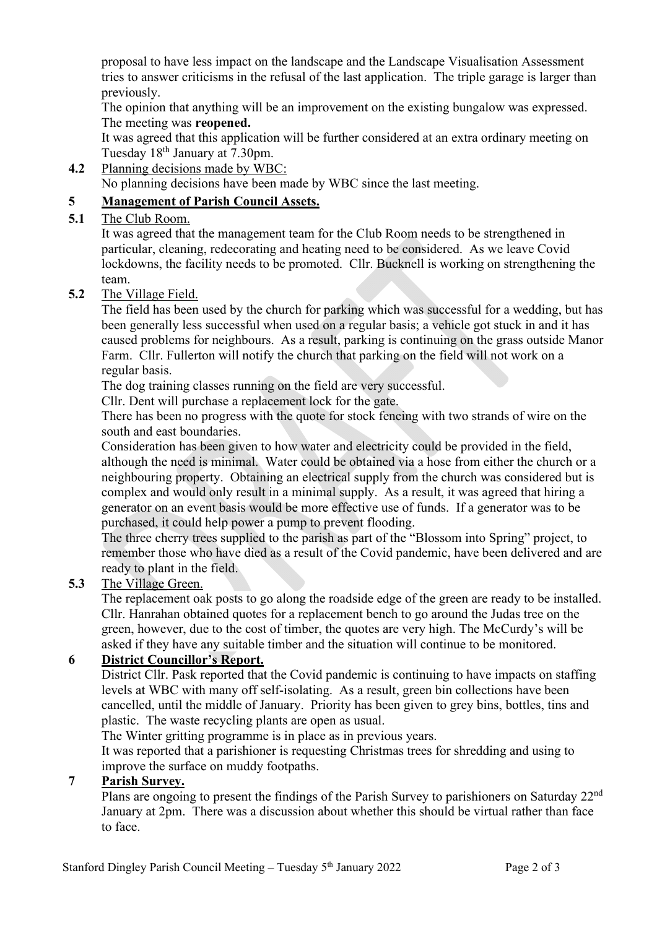proposal to have less impact on the landscape and the Landscape Visualisation Assessment tries to answer criticisms in the refusal of the last application. The triple garage is larger than previously.

The opinion that anything will be an improvement on the existing bungalow was expressed. The meeting was **reopened.**

It was agreed that this application will be further considered at an extra ordinary meeting on Tuesday 18th January at 7.30pm.

**4.2** Planning decisions made by WBC:

No planning decisions have been made by WBC since the last meeting.

## **5 Management of Parish Council Assets.**

#### **5.1** The Club Room.

It was agreed that the management team for the Club Room needs to be strengthened in particular, cleaning, redecorating and heating need to be considered. As we leave Covid lockdowns, the facility needs to be promoted. Cllr. Bucknell is working on strengthening the team.

#### **5.2** The Village Field.

The field has been used by the church for parking which was successful for a wedding, but has been generally less successful when used on a regular basis; a vehicle got stuck in and it has caused problems for neighbours. As a result, parking is continuing on the grass outside Manor Farm. Cllr. Fullerton will notify the church that parking on the field will not work on a regular basis.

The dog training classes running on the field are very successful.

Cllr. Dent will purchase a replacement lock for the gate.

There has been no progress with the quote for stock fencing with two strands of wire on the south and east boundaries.

Consideration has been given to how water and electricity could be provided in the field, although the need is minimal. Water could be obtained via a hose from either the church or a neighbouring property. Obtaining an electrical supply from the church was considered but is complex and would only result in a minimal supply. As a result, it was agreed that hiring a generator on an event basis would be more effective use of funds. If a generator was to be purchased, it could help power a pump to prevent flooding.

The three cherry trees supplied to the parish as part of the "Blossom into Spring" project, to remember those who have died as a result of the Covid pandemic, have been delivered and are ready to plant in the field.

## **5.3** The Village Green.

The replacement oak posts to go along the roadside edge of the green are ready to be installed. Cllr. Hanrahan obtained quotes for a replacement bench to go around the Judas tree on the green, however, due to the cost of timber, the quotes are very high. The McCurdy's will be asked if they have any suitable timber and the situation will continue to be monitored.

## **6 District Councillor's Report.**

District Cllr. Pask reported that the Covid pandemic is continuing to have impacts on staffing levels at WBC with many off self-isolating. As a result, green bin collections have been cancelled, until the middle of January. Priority has been given to grey bins, bottles, tins and plastic. The waste recycling plants are open as usual.

The Winter gritting programme is in place as in previous years.

It was reported that a parishioner is requesting Christmas trees for shredding and using to improve the surface on muddy footpaths.

#### **7 Parish Survey.**

Plans are ongoing to present the findings of the Parish Survey to parishioners on Saturday 22nd January at 2pm. There was a discussion about whether this should be virtual rather than face to face.